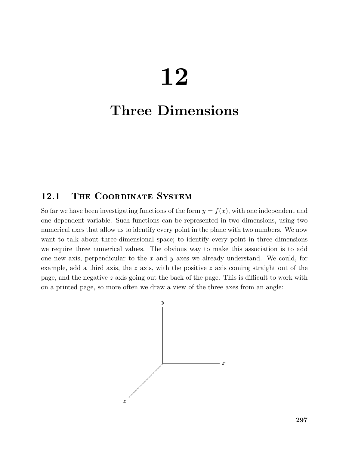# 12

## Three Dimensions

## 12.1 THE COORDINATE SYSTEM

So far we have been investigating functions of the form  $y = f(x)$ , with one independent and one dependent variable. Such functions can be represented in two dimensions, using two numerical axes that allow us to identify every point in the plane with two numbers. We now want to talk about three-dimensional space; to identify every point in three dimensions we require three numerical values. The obvious way to make this association is to add one new axis, perpendicular to the  $x$  and  $y$  axes we already understand. We could, for example, add a third axis, the z axis, with the positive z axis coming straight out of the page, and the negative  $z$  axis going out the back of the page. This is difficult to work with on a printed page, so more often we draw a view of the three axes from an angle:

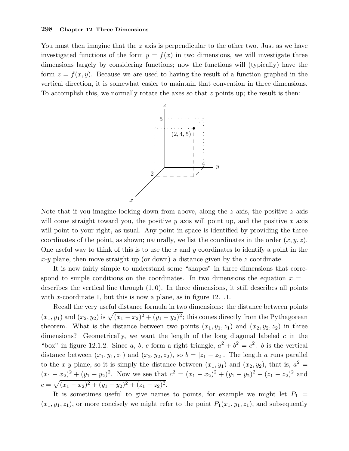You must then imagine that the z axis is perpendicular to the other two. Just as we have investigated functions of the form  $y = f(x)$  in two dimensions, we will investigate three dimensions largely by considering functions; now the functions will (typically) have the form  $z = f(x, y)$ . Because we are used to having the result of a function graphed in the vertical direction, it is somewhat easier to maintain that convention in three dimensions. To accomplish this, we normally rotate the axes so that  $z$  points up; the result is then:



Note that if you imagine looking down from above, along the  $z$  axis, the positive  $z$  axis will come straight toward you, the positive y axis will point up, and the positive x axis will point to your right, as usual. Any point in space is identified by providing the three coordinates of the point, as shown; naturally, we list the coordinates in the order  $(x, y, z)$ . One useful way to think of this is to use the x and y coordinates to identify a point in the  $x-y$  plane, then move straight up (or down) a distance given by the z coordinate.

It is now fairly simple to understand some "shapes" in three dimensions that correspond to simple conditions on the coordinates. In two dimensions the equation  $x = 1$ describes the vertical line through  $(1, 0)$ . In three dimensions, it still describes all points with x-coordinate 1, but this is now a plane, as in figure  $12.1.1$ .

Recall the very useful distance formula in two dimensions: the distance between points  $(x_1, y_1)$  and  $(x_2, y_2)$  is  $\sqrt{(x_1 - x_2)^2 + (y_1 - y_2)^2}$ ; this comes directly from the Pythagorean theorem. What is the distance between two points  $(x_1, y_1, z_1)$  and  $(x_2, y_2, z_2)$  in three dimensions? Geometrically, we want the length of the long diagonal labeled  $c$  in the "box" in figure 12.1.2. Since a, b, c form a right triangle,  $a^2 + b^2 = c^2$ . b is the vertical distance between  $(x_1, y_1, z_1)$  and  $(x_2, y_2, z_2)$ , so  $b = |z_1 - z_2|$ . The length a runs parallel to the x-y plane, so it is simply the distance between  $(x_1, y_1)$  and  $(x_2, y_2)$ , that is,  $a^2 =$  $(x_1 - x_2)^2 + (y_1 - y_2)^2$ . Now we see that  $c^2 = (x_1 - x_2)^2 + (y_1 - y_2)^2 + (z_1 - z_2)^2$  and  $c = \sqrt{(x_1 - x_2)^2 + (y_1 - y_2)^2 + (z_1 - z_2)^2}.$ 

It is sometimes useful to give names to points, for example we might let  $P_1$  =  $(x_1, y_1, z_1)$ , or more concisely we might refer to the point  $P_1(x_1, y_1, z_1)$ , and subsequently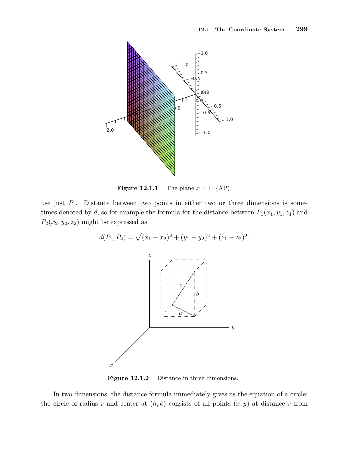

**Figure 12.1.1** The plane  $x = 1$ . (AP)

use just  $P_1$ . Distance between two points in either two or three dimensions is sometimes denoted by d, so for example the formula for the distance between  $P_1(x_1, y_1, z_1)$  and  $P_2(x_2, y_2, z_2)$  might be expressed as



Figure 12.1.2 Distance in three dimensions.

In two dimensions, the distance formula immediately gives us the equation of a circle: the circle of radius r and center at  $(h, k)$  consists of all points  $(x, y)$  at distance r from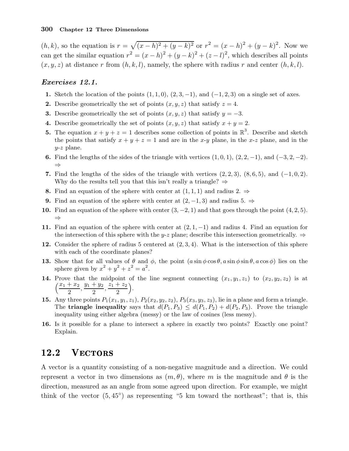$(h, k)$ , so the equation is  $r = \sqrt{(x - h)^2 + (y - k)^2}$  or  $r^2 = (x - h)^2 + (y - k)^2$ . Now we can get the similar equation  $r^2 = (x - h)^2 + (y - k)^2 + (z - l)^2$ , which describes all points  $(x, y, z)$  at distance r from  $(h, k, l)$ , namely, the sphere with radius r and center  $(h, k, l)$ .

#### Exercises 12.1.

- 1. Sketch the location of the points  $(1, 1, 0), (2, 3, -1),$  and  $(-1, 2, 3)$  on a single set of axes.
- 2. Describe geometrically the set of points  $(x, y, z)$  that satisfy  $z = 4$ .
- **3.** Describe geometrically the set of points  $(x, y, z)$  that satisfy  $y = -3$ .
- 4. Describe geometrically the set of points  $(x, y, z)$  that satisfy  $x + y = 2$ .
- **5.** The equation  $x + y + z = 1$  describes some collection of points in  $\mathbb{R}^3$ . Describe and sketch the points that satisfy  $x + y + z = 1$  and are in the x-y plane, in the x-z plane, and in the  $y-z$  plane.
- 6. Find the lengths of the sides of the triangle with vertices  $(1, 0, 1), (2, 2, -1),$  and  $(-3, 2, -2)$ . ⇒
- 7. Find the lengths of the sides of the triangle with vertices  $(2, 2, 3)$ ,  $(8, 6, 5)$ , and  $(-1, 0, 2)$ . Why do the results tell you that this isn't really a triangle?  $\Rightarrow$
- 8. Find an equation of the sphere with center at  $(1, 1, 1)$  and radius  $2. \Rightarrow$
- 9. Find an equation of the sphere with center at  $(2, -1, 3)$  and radius 5.  $\Rightarrow$
- 10. Find an equation of the sphere with center  $(3, -2, 1)$  and that goes through the point  $(4, 2, 5)$ . ⇒
- 11. Find an equation of the sphere with center at  $(2, 1, -1)$  and radius 4. Find an equation for the intersection of this sphere with the y-z plane; describe this intersection geometrically.  $\Rightarrow$
- 12. Consider the sphere of radius 5 centered at  $(2,3,4)$ . What is the intersection of this sphere with each of the coordinate planes?
- **13.** Show that for all values of  $\theta$  and  $\phi$ , the point  $(a \sin \phi \cos \theta, a \sin \phi \sin \theta, a \cos \phi)$  lies on the sphere given by  $x^2 + y^2 + z^2 = a^2$ .
- 14. Prove that the midpoint of the line segment connecting  $(x_1, y_1, z_1)$  to  $(x_2, y_2, z_2)$  is at  $(x_1 + x_2)$  $\frac{+ x_2}{2}, \frac{y_1 + y_2}{2}$  $\frac{+y_2}{2}, \frac{z_1+z_2}{2}$ 2 .
- **15.** Any three points  $P_1(x_1, y_1, z_1)$ ,  $P_2(x_2, y_2, z_2)$ ,  $P_3(x_3, y_3, z_3)$ , lie in a plane and form a triangle. The **triangle inequality** says that  $d(P_1, P_3) \leq d(P_1, P_2) + d(P_2, P_3)$ . Prove the triangle inequality using either algebra (messy) or the law of cosines (less messy).
- 16. Is it possible for a plane to intersect a sphere in exactly two points? Exactly one point? Explain.

A vector is a quantity consisting of a non-negative magnitude and a direction. We could represent a vector in two dimensions as  $(m, \theta)$ , where m is the magnitude and  $\theta$  is the direction, measured as an angle from some agreed upon direction. For example, we might think of the vector  $(5, 45^{\circ})$  as representing "5 km toward the northeast"; that is, this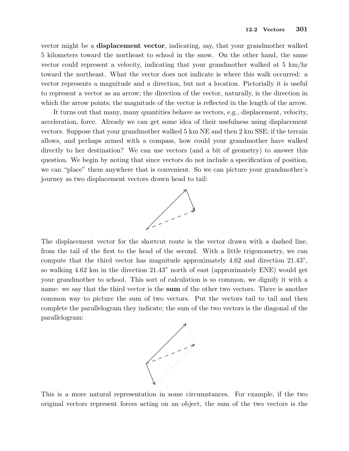vector might be a displacement vector, indicating, say, that your grandmother walked 5 kilometers toward the northeast to school in the snow. On the other hand, the same vector could represent a velocity, indicating that your grandmother walked at 5 km/hr toward the northeast. What the vector does not indicate is where this walk occurred: a vector represents a magnitude and a direction, but not a location. Pictorially it is useful to represent a vector as an arrow; the direction of the vector, naturally, is the direction in which the arrow points; the magnitude of the vector is reflected in the length of the arrow.

It turns out that many, many quantities behave as vectors, e.g., displacement, velocity, acceleration, force. Already we can get some idea of their usefulness using displacement vectors. Suppose that your grandmother walked 5 km NE and then 2 km SSE; if the terrain allows, and perhaps armed with a compass, how could your grandmother have walked directly to her destination? We can use vectors (and a bit of geometry) to answer this question. We begin by noting that since vectors do not include a specification of position, we can "place" them anywhere that is convenient. So we can picture your grandmother's journey as two displacement vectors drawn head to tail:



The displacement vector for the shortcut route is the vector drawn with a dashed line, from the tail of the first to the head of the second. With a little trigonometry, we can compute that the third vector has magnitude approximately  $4.62$  and direction  $21.43^{\circ}$ , so walking 4.62 km in the direction  $21.43^{\circ}$  north of east (approximately ENE) would get your grandmother to school. This sort of calculation is so common, we dignify it with a name: we say that the third vector is the sum of the other two vectors. There is another common way to picture the sum of two vectors. Put the vectors tail to tail and then complete the parallelogram they indicate; the sum of the two vectors is the diagonal of the parallelogram:



This is a more natural representation in some circumstances. For example, if the two original vectors represent forces acting on an object, the sum of the two vectors is the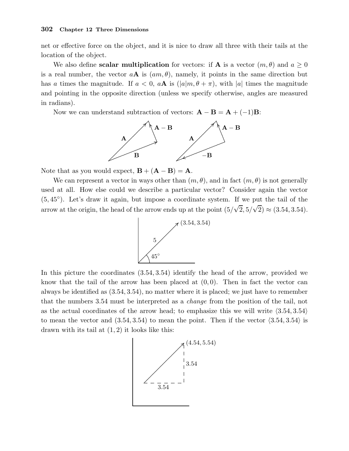net or effective force on the object, and it is nice to draw all three with their tails at the location of the object.

We also define **scalar multiplication** for vectors: if **A** is a vector  $(m, \theta)$  and  $a \ge 0$ is a real number, the vector  $a\mathbf{A}$  is  $(am,\theta)$ , namely, it points in the same direction but has a times the magnitude. If  $a < 0$ ,  $aA$  is  $(|a|m, \theta + \pi)$ , with |a| times the magnitude and pointing in the opposite direction (unless we specify otherwise, angles are measured in radians).

Now we can understand subtraction of vectors:  $\mathbf{A} - \mathbf{B} = \mathbf{A} + (-1)\mathbf{B}$ :



Note that as you would expect,  $\mathbf{B} + (\mathbf{A} - \mathbf{B}) = \mathbf{A}$ .

We can represent a vector in ways other than  $(m, \theta)$ , and in fact  $(m, \theta)$  is not generally used at all. How else could we describe a particular vector? Consider again the vector (5, 45◦ ). Let's draw it again, but impose a coordinate system. If we put the tail of the arrow at the origin, the head of the arrow ends up at the point  $(5/\sqrt{2}, 5/\sqrt{2}) \approx (3.54, 3.54)$ .



In this picture the coordinates (3.54, 3.54) identify the head of the arrow, provided we know that the tail of the arrow has been placed at  $(0, 0)$ . Then in fact the vector can always be identified as (3.54, 3.54), no matter where it is placed; we just have to remember that the numbers 3.54 must be interpreted as a change from the position of the tail, not as the actual coordinates of the arrow head; to emphasize this we will write  $\langle 3.54, 3.54 \rangle$ to mean the vector and  $(3.54, 3.54)$  to mean the point. Then if the vector  $\langle 3.54, 3.54 \rangle$  is drawn with its tail at  $(1, 2)$  it looks like this:

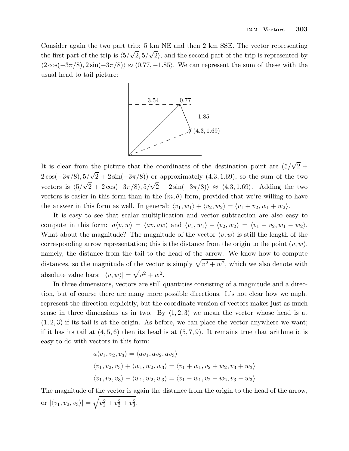Consider again the two part trip: 5 km NE and then 2 km SSE. The vector representing the first part of the trip is  $\langle 5/\sqrt{2}, 5/\sqrt{2} \rangle$ , and the second part of the trip is represented by  $\langle 2\cos(-3\pi/8), 2\sin(-3\pi/8) \rangle \approx \langle 0.77, -1.85 \rangle$ . We can represent the sum of these with the usual head to tail picture:



It is clear from the picture that the coordinates of the destination point are  $(5/\sqrt{2} +$  $2\cos(-3\pi/8), 5/\sqrt{2} + 2\sin(-3\pi/8))$  or approximately  $(4.3, 1.69)$ , so the sum of the two vectors is  $\langle 5/\sqrt{2} + 2\cos(-3\pi/8), 5/\sqrt{2} + 2\sin(-3\pi/8) \rangle \approx \langle 4.3, 1.69 \rangle$ . Adding the two vectors is easier in this form than in the  $(m, \theta)$  form, provided that we're willing to have the answer in this form as well. In general:  $\langle v_1, w_1 \rangle + \langle v_2, w_2 \rangle = \langle v_1 + v_2, w_1 + w_2 \rangle$ .

It is easy to see that scalar multiplication and vector subtraction are also easy to compute in this form:  $a\langle v, w \rangle = \langle av, aw \rangle$  and  $\langle v_1, w_1 \rangle - \langle v_2, w_2 \rangle = \langle v_1 - v_2, w_1 - w_2 \rangle$ . What about the magnitude? The magnitude of the vector  $\langle v, w \rangle$  is still the length of the corresponding arrow representation; this is the distance from the origin to the point  $(v, w)$ , namely, the distance from the tail to the head of the arrow. We know how to compute distances, so the magnitude of the vector is simply  $\sqrt{v^2 + w^2}$ , which we also denote with absolute value bars:  $|\langle v, w \rangle| = \sqrt{v^2 + w^2}$ .

In three dimensions, vectors are still quantities consisting of a magnitude and a direction, but of course there are many more possible directions. It's not clear how we might represent the direction explicitly, but the coordinate version of vectors makes just as much sense in three dimensions as in two. By  $\langle 1, 2, 3 \rangle$  we mean the vector whose head is at  $(1, 2, 3)$  if its tail is at the origin. As before, we can place the vector anywhere we want; if it has its tail at  $(4, 5, 6)$  then its head is at  $(5, 7, 9)$ . It remains true that arithmetic is easy to do with vectors in this form:

$$
a\langle v_1, v_2, v_3 \rangle = \langle av_1, av_2, av_3 \rangle
$$
  

$$
\langle v_1, v_2, v_3 \rangle + \langle w_1, w_2, w_3 \rangle = \langle v_1 + w_1, v_2 + w_2, v_3 + w_3 \rangle
$$
  

$$
\langle v_1, v_2, v_3 \rangle - \langle w_1, w_2, w_3 \rangle = \langle v_1 - w_1, v_2 - w_2, v_3 - w_3 \rangle
$$

The magnitude of the vector is again the distance from the origin to the head of the arrow, or  $|\langle v_1, v_2, v_3 \rangle| = \sqrt{v_1^2 + v_2^2 + v_3^2}.$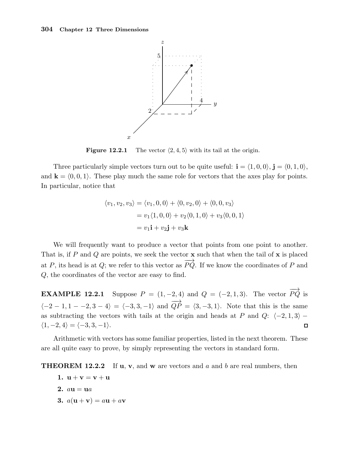

**Figure 12.2.1** The vector  $\langle 2, 4, 5 \rangle$  with its tail at the origin.

Three particularly simple vectors turn out to be quite useful:  $\mathbf{i} = \langle 1, 0, 0 \rangle$ ,  $\mathbf{j} = \langle 0, 1, 0 \rangle$ , and  $\mathbf{k} = \langle 0, 0, 1 \rangle$ . These play much the same role for vectors that the axes play for points. In particular, notice that

$$
\langle v_1, v_2, v_3 \rangle = \langle v_1, 0, 0 \rangle + \langle 0, v_2, 0 \rangle + \langle 0, 0, v_3 \rangle
$$
  
=  $v_1 \langle 1, 0, 0 \rangle + v_2 \langle 0, 1, 0 \rangle + v_3 \langle 0, 0, 1 \rangle$   
=  $v_1 \mathbf{i} + v_2 \mathbf{j} + v_3 \mathbf{k}$ 

We will frequently want to produce a vector that points from one point to another. That is, if P and Q are points, we seek the vector  $x$  such that when the tail of  $x$  is placed at P, its head is at Q; we refer to this vector as  $\overrightarrow{PQ}$ . If we know the coordinates of P and Q, the coordinates of the vector are easy to find.

**EXAMPLE 12.2.1** Suppose  $P = (1, -2, 4)$  and  $Q = (-2, 1, 3)$ . The vector  $\overrightarrow{PQ}$  is  $\langle -2 - 1, 1 - -2, 3 - 4 \rangle = \langle -3, 3, -1 \rangle$  and  $\overrightarrow{QP} = \langle 3, -3, 1 \rangle$ . Note that this is the same as subtracting the vectors with tails at the origin and heads at P and Q:  $\langle -2, 1, 3 \rangle$  −  $\langle 1, -2, 4 \rangle = \langle -3, 3, -1 \rangle.$  $\Box$ 

Arithmetic with vectors has some familiar properties, listed in the next theorem. These are all quite easy to prove, by simply representing the vectors in standard form.

**THEOREM 12.2.2** If **u**, **v**, and **w** are vectors and a and b are real numbers, then

- 1.  $u + v = v + u$
- 2.  $au = ua$
- 3.  $a(\mathbf{u} + \mathbf{v}) = a\mathbf{u} + a\mathbf{v}$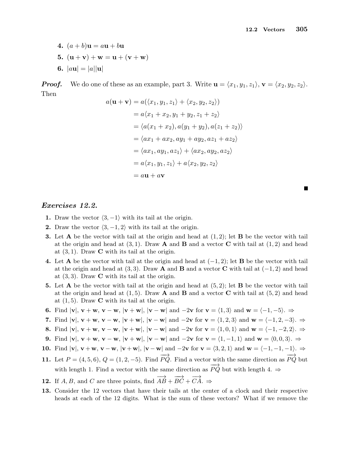- 4.  $(a + b)$ **u** =  $a$ **u** +  $b$ **u**
- 5.  $(u + v) + w = u + (v + w)$
- 6.  $|a\mathbf{u}| = |a||\mathbf{u}|$

**Proof.** We do one of these as an example, part 3. Write  $\mathbf{u} = \langle x_1, y_1, z_1 \rangle$ ,  $\mathbf{v} = \langle x_2, y_2, z_2 \rangle$ . Then

$$
a(\mathbf{u} + \mathbf{v}) = a(\langle x_1, y_1, z_1 \rangle + \langle x_2, y_2, z_2 \rangle)
$$
  
\n
$$
= a\langle x_1 + x_2, y_1 + y_2, z_1 + z_2 \rangle
$$
  
\n
$$
= \langle a(x_1 + x_2), a(y_1 + y_2), a(z_1 + z_2) \rangle
$$
  
\n
$$
= \langle ax_1 + ax_2, ay_1 + ay_2, az_1 + az_2 \rangle
$$
  
\n
$$
= \langle ax_1, ay_1, az_1 \rangle + \langle ax_2, ay_2, az_2 \rangle
$$
  
\n
$$
= a\langle x_1, y_1, z_1 \rangle + a\langle x_2, y_2, z_2 \rangle
$$
  
\n
$$
= a\mathbf{u} + a\mathbf{v}
$$

п

#### Exercises 12.2.

- 1. Draw the vector  $\langle 3, -1 \rangle$  with its tail at the origin.
- 2. Draw the vector  $\langle 3, -1, 2 \rangle$  with its tail at the origin.
- **3.** Let **A** be the vector with tail at the origin and head at  $(1, 2)$ ; let **B** be the vector with tail at the origin and head at  $(3, 1)$ . Draw **A** and **B** and a vector **C** with tail at  $(1, 2)$  and head at  $(3, 1)$ . Draw **C** with its tail at the origin.
- 4. Let A be the vector with tail at the origin and head at  $(-1, 2)$ ; let B be the vector with tail at the origin and head at (3,3). Draw A and B and a vector C with tail at  $(-1, 2)$  and head at  $(3,3)$ . Draw **C** with its tail at the origin.
- 5. Let **A** be the vector with tail at the origin and head at  $(5, 2)$ ; let **B** be the vector with tail at the origin and head at  $(1, 5)$ . Draw **A** and **B** and a vector **C** with tail at  $(5, 2)$  and head at  $(1, 5)$ . Draw **C** with its tail at the origin.
- 6. Find  $|v|, v + w, v w, |v + w|, |v w|$  and  $-2v$  for  $v = \langle 1, 3 \rangle$  and  $w = \langle -1, -5 \rangle$ .  $\Rightarrow$
- 7. Find  $|v|, v + w, v w, |v + w|, |v w|$  and  $-2v$  for  $v = \langle 1, 2, 3 \rangle$  and  $w = \langle -1, 2, -3 \rangle$ .  $\Rightarrow$
- 8. Find  $|v|, v + w, v w, |v + w|, |v w|$  and  $-2v$  for  $v = \langle 1, 0, 1 \rangle$  and  $w = \langle -1, -2, 2 \rangle$ .  $\Rightarrow$
- 9. Find  $|v|, v + w, v w, |v + w|, |v w|$  and  $-2v$  for  $v = \langle 1, -1, 1 \rangle$  and  $w = \langle 0, 0, 3 \rangle$ .  $\Rightarrow$
- 10. Find  $|v|, v + w, v w, |v + w|, |v w|$  and  $-2v$  for  $v = \langle 3, 2, 1 \rangle$  and  $w = \langle -1, -1, -1 \rangle$ .  $\Rightarrow$
- 11. Let  $P = (4, 5, 6), Q = (1, 2, -5)$ . Find  $\overrightarrow{PQ}$ . Find a vector with the same direction as  $\overrightarrow{PQ}$  but with length 1. Find a vector with the same direction as  $\overrightarrow{PQ}$  but with length 4.  $\Rightarrow$
- **12.** If A, B, and C are three points, find  $\overrightarrow{AB} + \overrightarrow{BC} + \overrightarrow{CA}$ .  $\Rightarrow$
- 13. Consider the 12 vectors that have their tails at the center of a clock and their respective heads at each of the 12 digits. What is the sum of these vectors? What if we remove the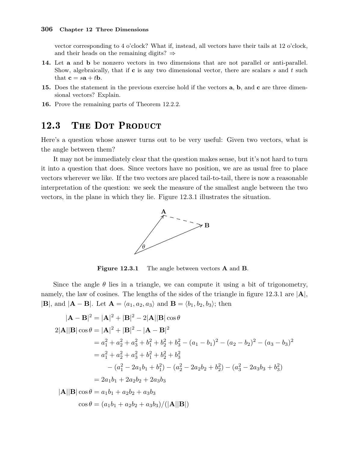vector corresponding to 4 o'clock? What if, instead, all vectors have their tails at 12 o'clock, and their heads on the remaining digits?  $\Rightarrow$ 

- 14. Let a and b be nonzero vectors in two dimensions that are not parallel or anti-parallel. Show, algebraically, that if  $c$  is any two dimensional vector, there are scalars s and t such that  $\mathbf{c} = s\mathbf{a} + t\mathbf{b}$ .
- 15. Does the statement in the previous exercise hold if the vectors **a**, **b**, and **c** are three dimensional vectors? Explain.
- 16. Prove the remaining parts of Theorem 12.2.2.

#### THE DOT PRODUCT 12.3

Here's a question whose answer turns out to be very useful: Given two vectors, what is the angle between them?

It may not be immediately clear that the question makes sense, but it's not hard to turn it into a question that does. Since vectors have no position, we are as usual free to place vectors wherever we like. If the two vectors are placed tail-to-tail, there is now a reasonable interpretation of the question: we seek the measure of the smallest angle between the two vectors, in the plane in which they lie. Figure 12.3.1 illustrates the situation.



Figure 12.3.1 The angle between vectors **A** and **B**.

Since the angle  $\theta$  lies in a triangle, we can compute it using a bit of trigonometry, namely, the law of cosines. The lengths of the sides of the triangle in figure 12.3.1 are  $|\mathbf{A}|$ ,  $|\mathbf{B}|$ , and  $|\mathbf{A} - \mathbf{B}|$ . Let  $\mathbf{A} = \langle a_1, a_2, a_3 \rangle$  and  $\mathbf{B} = \langle b_1, b_2, b_3 \rangle$ ; then

$$
|\mathbf{A} - \mathbf{B}|^2 = |\mathbf{A}|^2 + |\mathbf{B}|^2 - 2|\mathbf{A}||\mathbf{B}|\cos\theta
$$
  
\n
$$
2|\mathbf{A}||\mathbf{B}|\cos\theta = |\mathbf{A}|^2 + |\mathbf{B}|^2 - |\mathbf{A} - \mathbf{B}|^2
$$
  
\n
$$
= a_1^2 + a_2^2 + a_3^2 + b_1^2 + b_2^2 + b_3^2 - (a_1 - b_1)^2 - (a_2 - b_2)^2 - (a_3 - b_3)^2
$$
  
\n
$$
= a_1^2 + a_2^2 + a_3^2 + b_1^2 + b_2^2 + b_3^2
$$
  
\n
$$
- (a_1^2 - 2a_1b_1 + b_1^2) - (a_2^2 - 2a_2b_2 + b_2^2) - (a_3^2 - 2a_3b_3 + b_3^2)
$$
  
\n
$$
= 2a_1b_1 + 2a_2b_2 + 2a_3b_3
$$
  
\n
$$
|\mathbf{A}||\mathbf{B}|\cos\theta = a_1b_1 + a_2b_2 + a_3b_3
$$
  
\n
$$
\cos\theta = (a_1b_1 + a_2b_2 + a_3b_3)/(|\mathbf{A}||\mathbf{B}|)
$$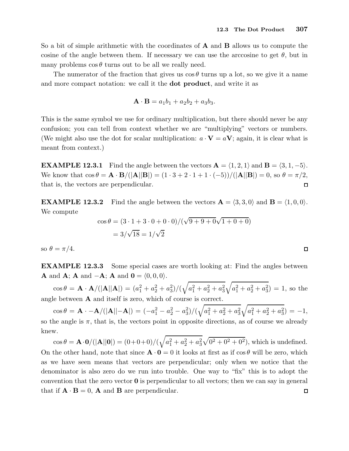So a bit of simple arithmetic with the coordinates of **A** and **B** allows us to compute the cosine of the angle between them. If necessary we can use the arccosine to get  $\theta$ , but in many problems  $\cos \theta$  turns out to be all we really need.

The numerator of the fraction that gives us  $\cos \theta$  turns up a lot, so we give it a name and more compact notation: we call it the dot product, and write it as

$$
\mathbf{A} \cdot \mathbf{B} = a_1b_1 + a_2b_2 + a_3b_3.
$$

This is the same symbol we use for ordinary multiplication, but there should never be any confusion; you can tell from context whether we are "multiplying" vectors or numbers. (We might also use the dot for scalar multiplication:  $a \cdot V = aV$ ; again, it is clear what is meant from context.)

**EXAMPLE 12.3.1** Find the angle between the vectors  $\mathbf{A} = \langle 1, 2, 1 \rangle$  and  $\mathbf{B} = \langle 3, 1, -5 \rangle$ . We know that  $\cos \theta = \mathbf{A} \cdot \mathbf{B}/(|\mathbf{A}||\mathbf{B}|) = (1 \cdot 3 + 2 \cdot 1 + 1 \cdot (-5))/(|\mathbf{A}||\mathbf{B}|) = 0$ , so  $\theta = \pi/2$ , that is, the vectors are perpendicular.  $\Box$ 

**EXAMPLE 12.3.2** Find the angle between the vectors  $\mathbf{A} = \langle 3, 3, 0 \rangle$  and  $\mathbf{B} = \langle 1, 0, 0 \rangle$ . We compute

$$
\cos \theta = (3 \cdot 1 + 3 \cdot 0 + 0 \cdot 0) / (\sqrt{9 + 9 + 0} \sqrt{1 + 0 + 0})
$$

$$
= 3/\sqrt{18} = 1/\sqrt{2}
$$

so  $\theta = \pi/4$ .

EXAMPLE 12.3.3 Some special cases are worth looking at: Find the angles between **A** and **A**; **A** and  $-\mathbf{A}$ ; **A** and  $\mathbf{0} = \langle 0, 0, 0 \rangle$ .

 $\cos\theta = \mathbf{A} \cdot \mathbf{A}/(|\mathbf{A}||\mathbf{A}|) = (a_1^2 + a_2^2 + a_3^2)/(\sqrt{a_1^2 + a_2^2 + a_3^2}\sqrt{a_1^2 + a_2^2 + a_3^2}) = 1$ , so the angle between A and itself is zero, which of course is correct.

 $\cos\theta = \mathbf{A}\cdot-\mathbf{A}/(|\mathbf{A}||-\mathbf{A}|) = (-a_1^2-a_2^2-a_3^2)/(\sqrt{a_1^2+a_2^2+a_3^2}\sqrt{a_1^2+a_2^2+a_3^2}) = -1,$ so the angle is  $\pi$ , that is, the vectors point in opposite directions, as of course we already knew.

 $\cos \theta = \mathbf{A} \cdot \mathbf{0} / (|\mathbf{A}||\mathbf{0}|) = (0+0+0) / (\sqrt{a_1^2 + a_2^2 + a_3^2} \sqrt{0^2 + 0^2 + 0^2})$ , which is undefined. On the other hand, note that since  $\mathbf{A} \cdot \mathbf{0} = 0$  it looks at first as if  $\cos \theta$  will be zero, which as we have seen means that vectors are perpendicular; only when we notice that the denominator is also zero do we run into trouble. One way to "fix" this is to adopt the convention that the zero vector  $\bf{0}$  is perpendicular to all vectors; then we can say in general that if  $\mathbf{A} \cdot \mathbf{B} = 0$ , **A** and **B** are perpendicular.  $\Box$ 

 $\Box$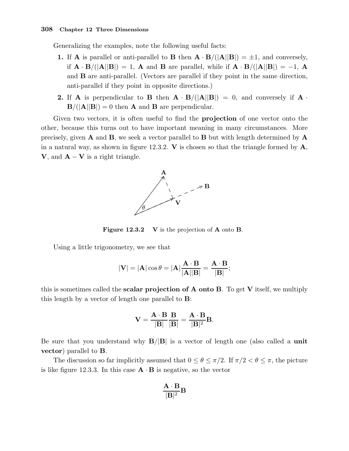Generalizing the examples, note the following useful facts:

- 1. If **A** is parallel or anti-parallel to **B** then  $\mathbf{A} \cdot \mathbf{B}/(|\mathbf{A}||\mathbf{B}|) = \pm 1$ , and conversely, if  $\mathbf{A} \cdot \mathbf{B}/(|\mathbf{A}||\mathbf{B}|) = 1$ , **A** and **B** are parallel, while if  $\mathbf{A} \cdot \mathbf{B}/(|\mathbf{A}||\mathbf{B}|) = -1$ , **A** and B are anti-parallel. (Vectors are parallel if they point in the same direction, anti-parallel if they point in opposite directions.)
- 2. If A is perpendicular to B then  $\mathbf{A} \cdot \mathbf{B}/(|\mathbf{A}||\mathbf{B}|) = 0$ , and conversely if  $\mathbf{A} \cdot \mathbf{B}/(|\mathbf{A}||\mathbf{B}|) = 0$ .  $B/(|A||B|) = 0$  then **A** and **B** are perpendicular.

Given two vectors, it is often useful to find the **projection** of one vector onto the other, because this turns out to have important meaning in many circumstances. More precisely, given  $A$  and  $B$ , we seek a vector parallel to  $B$  but with length determined by  $A$ in a natural way, as shown in figure 12.3.2.  $\bf{V}$  is chosen so that the triangle formed by  $\bf{A}$ , **V**, and  $\mathbf{A} - \mathbf{V}$  is a right triangle.



Figure 12.3.2 V is the projection of A onto B.

Using a little trigonometry, we see that

$$
|\mathbf{V}| = |\mathbf{A}| \cos \theta = |\mathbf{A}| \frac{\mathbf{A} \cdot \mathbf{B}}{|\mathbf{A}||\mathbf{B}|} = \frac{\mathbf{A} \cdot \mathbf{B}}{|\mathbf{B}|};
$$

this is sometimes called the **scalar projection of A onto B**. To get  $V$  itself, we multiply this length by a vector of length one parallel to B:

$$
\mathbf{V} = \frac{\mathbf{A} \cdot \mathbf{B}}{|\mathbf{B}|} \frac{\mathbf{B}}{|\mathbf{B}|} = \frac{\mathbf{A} \cdot \mathbf{B}}{|\mathbf{B}|^2} \mathbf{B}.
$$

Be sure that you understand why  $B/|B|$  is a vector of length one (also called a unit vector) parallel to B.

The discussion so far implicitly assumed that  $0 \le \theta \le \pi/2$ . If  $\pi/2 < \theta \le \pi$ , the picture is like figure 12.3.3. In this case  $\mathbf{A} \cdot \mathbf{B}$  is negative, so the vector

$$
\frac{\mathbf{A}\cdot\mathbf{B}}{|\mathbf{B}|^2}\mathbf{B}
$$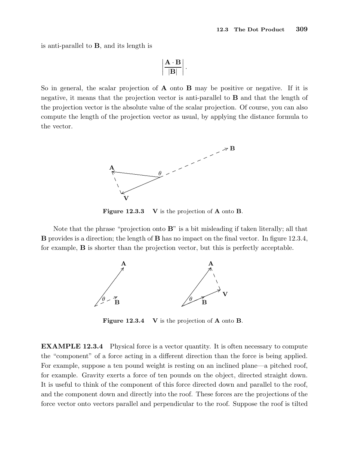is anti-parallel to B, and its length is

$$
\left|\frac{\mathbf{A}\cdot\mathbf{B}}{|\mathbf{B}|}\right|.
$$

So in general, the scalar projection of  $\bf{A}$  onto  $\bf{B}$  may be positive or negative. If it is negative, it means that the projection vector is anti-parallel to B and that the length of the projection vector is the absolute value of the scalar projection. Of course, you can also compute the length of the projection vector as usual, by applying the distance formula to the vector.



Figure 12.3.3 V is the projection of A onto B.

Note that the phrase "projection onto B" is a bit misleading if taken literally; all that B provides is a direction; the length of B has no impact on the final vector. In figure 12.3.4, for example, B is shorter than the projection vector, but this is perfectly acceptable.



Figure 12.3.4 V is the projection of A onto B.

EXAMPLE 12.3.4 Physical force is a vector quantity. It is often necessary to compute the "component" of a force acting in a different direction than the force is being applied. For example, suppose a ten pound weight is resting on an inclined plane—a pitched roof, for example. Gravity exerts a force of ten pounds on the object, directed straight down. It is useful to think of the component of this force directed down and parallel to the roof, and the component down and directly into the roof. These forces are the projections of the force vector onto vectors parallel and perpendicular to the roof. Suppose the roof is tilted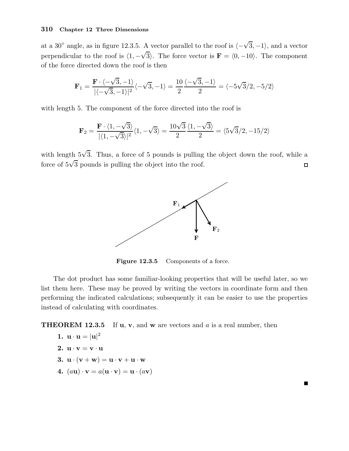at a 30<sup>°</sup> angle, as in figure 12.3.5. A vector parallel to the roof is  $\langle -\sqrt{3}, -1 \rangle$ , and a vector perpendicular to the roof is  $\langle 1, -\sqrt{3} \rangle$ . The force vector is  $\mathbf{F} = \langle 0, -10 \rangle$ . The component of the force directed down the roof is then

$$
\mathbf{F}_1 = \frac{\mathbf{F} \cdot \langle -\sqrt{3}, -1 \rangle}{|\langle -\sqrt{3}, -1 \rangle|^2} \langle -\sqrt{3}, -1 \rangle = \frac{10}{2} \frac{\langle -\sqrt{3}, -1 \rangle}{2} = \langle -5\sqrt{3}/2, -5/2 \rangle
$$

with length 5. The component of the force directed into the roof is

$$
\mathbf{F}_2=\frac{\mathbf{F}\cdot\langle 1,-\sqrt{3}\rangle}{|\langle 1,-\sqrt{3}\rangle|^2}\langle 1,-\sqrt{3}\rangle=\frac{10\sqrt{3}}{2}\frac{\langle 1,-\sqrt{3}\rangle}{2}=\langle 5\sqrt{3}/2,-15/2\rangle
$$

with length  $5\sqrt{3}$ . Thus, a force of 5 pounds is pulling the object down the roof, while a force of  $5\sqrt{3}$  pounds is pulling the object into the roof.  $\Box$ 



Figure 12.3.5 Components of a force.

The dot product has some familiar-looking properties that will be useful later, so we list them here. These may be proved by writing the vectors in coordinate form and then performing the indicated calculations; subsequently it can be easier to use the properties instead of calculating with coordinates.

**THEOREM 12.3.5** If  $u$ ,  $v$ , and  $w$  are vectors and  $a$  is a real number, then

$$
1. u \cdot u = |u|^2
$$

- 2.  $u \cdot v = v \cdot u$
- 3.  $\mathbf{u} \cdot (\mathbf{v} + \mathbf{w}) = \mathbf{u} \cdot \mathbf{v} + \mathbf{u} \cdot \mathbf{w}$
- 4.  $(a\mathbf{u}) \cdot \mathbf{v} = a(\mathbf{u} \cdot \mathbf{v}) = \mathbf{u} \cdot (a\mathbf{v})$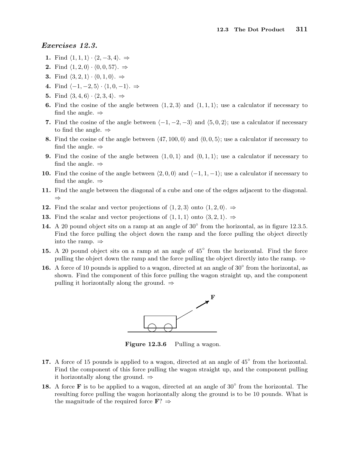#### Exercises 12.3.

- 1. Find  $\langle 1, 1, 1 \rangle \cdot \langle 2, -3, 4 \rangle. \Rightarrow$
- 2. Find  $\langle 1, 2, 0 \rangle \cdot \langle 0, 0, 57 \rangle$ .  $\Rightarrow$
- **3.** Find  $\langle 3, 2, 1 \rangle \cdot \langle 0, 1, 0 \rangle. \Rightarrow$
- 4. Find  $\langle -1, -2, 5 \rangle \cdot \langle 1, 0, -1 \rangle. \Rightarrow$
- 5. Find  $\langle 3, 4, 6 \rangle \cdot \langle 2, 3, 4 \rangle. \Rightarrow$
- 6. Find the cosine of the angle between  $\langle 1, 2, 3 \rangle$  and  $\langle 1, 1, 1 \rangle$ ; use a calculator if necessary to find the angle.  $\Rightarrow$
- 7. Find the cosine of the angle between  $\langle -1, -2, -3 \rangle$  and  $\langle 5, 0, 2 \rangle$ ; use a calculator if necessary to find the angle.  $\Rightarrow$
- 8. Find the cosine of the angle between  $\langle 47, 100, 0 \rangle$  and  $\langle 0, 0, 5 \rangle$ ; use a calculator if necessary to find the angle.  $\Rightarrow$
- **9.** Find the cosine of the angle between  $\langle 1, 0, 1 \rangle$  and  $\langle 0, 1, 1 \rangle$ ; use a calculator if necessary to find the angle.  $\Rightarrow$
- 10. Find the cosine of the angle between  $\langle 2, 0, 0 \rangle$  and  $\langle -1, 1, -1 \rangle$ ; use a calculator if necessary to find the angle.  $\Rightarrow$
- 11. Find the angle between the diagonal of a cube and one of the edges adjacent to the diagonal. ⇒
- 12. Find the scalar and vector projections of  $\langle 1, 2, 3 \rangle$  onto  $\langle 1, 2, 0 \rangle$ . ⇒
- 13. Find the scalar and vector projections of  $\langle 1, 1, 1 \rangle$  onto  $\langle 3, 2, 1 \rangle$ . ⇒
- 14. A 20 pound object sits on a ramp at an angle of  $30^\circ$  from the horizontal, as in figure 12.3.5. Find the force pulling the object down the ramp and the force pulling the object directly into the ramp. ⇒
- 15. A 20 pound object sits on a ramp at an angle of 45<sup>°</sup> from the horizontal. Find the force pulling the object down the ramp and the force pulling the object directly into the ramp.  $\Rightarrow$
- 16. A force of 10 pounds is applied to a wagon, directed at an angle of  $30^{\circ}$  from the horizontal, as shown. Find the component of this force pulling the wagon straight up, and the component pulling it horizontally along the ground.  $\Rightarrow$



Figure 12.3.6 Pulling a wagon.

- 17. A force of 15 pounds is applied to a wagon, directed at an angle of 45° from the horizontal. Find the component of this force pulling the wagon straight up, and the component pulling it horizontally along the ground.  $\Rightarrow$
- 18. A force  $\bf{F}$  is to be applied to a wagon, directed at an angle of 30 $\degree$  from the horizontal. The resulting force pulling the wagon horizontally along the ground is to be 10 pounds. What is the magnitude of the required force  $\mathbf{F}$ ?  $\Rightarrow$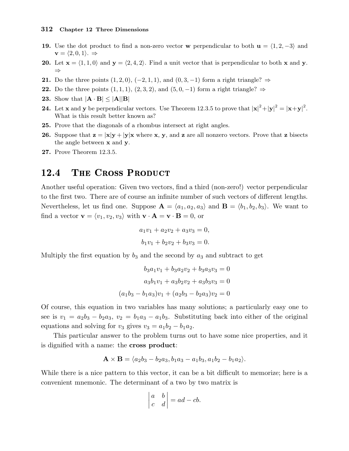- 19. Use the dot product to find a non-zero vector w perpendicular to both  $u = \langle 1, 2, -3 \rangle$  and  $\mathbf{v} = \langle 2, 0, 1 \rangle. \Rightarrow$
- 20. Let  $\mathbf{x} = \langle 1, 1, 0 \rangle$  and  $\mathbf{y} = \langle 2, 4, 2 \rangle$ . Find a unit vector that is perpendicular to both x and y. ⇒
- **21.** Do the three points  $(1, 2, 0), (-2, 1, 1),$  and  $(0, 3, -1)$  form a right triangle?  $\Rightarrow$
- 22. Do the three points  $(1,1,1)$ ,  $(2,3,2)$ , and  $(5,0,-1)$  form a right triangle?  $\Rightarrow$
- **23.** Show that  $|\mathbf{A} \cdot \mathbf{B}| < |\mathbf{A}||\mathbf{B}|$
- **24.** Let **x** and **y** be perpendicular vectors. Use Theorem 12.3.5 to prove that  $|\mathbf{x}|^2 + |\mathbf{y}|^2 = |\mathbf{x} + \mathbf{y}|^2$ . What is this result better known as?
- 25. Prove that the diagonals of a rhombus intersect at right angles.
- **26.** Suppose that  $\mathbf{z} = |\mathbf{x}|\mathbf{y} + |\mathbf{y}|\mathbf{x}$  where **x**, **y**, and **z** are all nonzero vectors. Prove that **z** bisects the angle between **x** and **y**.
- 27. Prove Theorem 12.3.5.

#### 12.4 THE CROSS PRODUCT

Another useful operation: Given two vectors, find a third (non-zero!) vector perpendicular to the first two. There are of course an infinite number of such vectors of different lengths. Nevertheless, let us find one. Suppose  $\mathbf{A} = \langle a_1, a_2, a_3 \rangle$  and  $\mathbf{B} = \langle b_1, b_2, b_3 \rangle$ . We want to find a vector  $\mathbf{v} = \langle v_1, v_2, v_3 \rangle$  with  $\mathbf{v} \cdot \mathbf{A} = \mathbf{v} \cdot \mathbf{B} = 0$ , or

$$
a_1v_1 + a_2v_2 + a_3v_3 = 0,
$$
  

$$
b_1v_1 + b_2v_2 + b_3v_3 = 0.
$$

Multiply the first equation by  $b_3$  and the second by  $a_3$  and subtract to get

$$
b_3a_1v_1 + b_3a_2v_2 + b_3a_3v_3 = 0
$$
  

$$
a_3b_1v_1 + a_3b_2v_2 + a_3b_3v_3 = 0
$$
  

$$
(a_1b_3 - b_1a_3)v_1 + (a_2b_3 - b_2a_3)v_2 = 0
$$

Of course, this equation in two variables has many solutions; a particularly easy one to see is  $v_1 = a_2b_3 - b_2a_3$ ,  $v_2 = b_1a_3 - a_1b_3$ . Substituting back into either of the original equations and solving for  $v_3$  gives  $v_3 = a_1b_2 - b_1a_2$ .

This particular answer to the problem turns out to have some nice properties, and it is dignified with a name: the cross product:

$$
\mathbf{A} \times \mathbf{B} = \langle a_2b_3 - b_2a_3, b_1a_3 - a_1b_3, a_1b_2 - b_1a_2 \rangle.
$$

While there is a nice pattern to this vector, it can be a bit difficult to memorize; here is a convenient mnemonic. The determinant of a two by two matrix is

$$
\begin{vmatrix} a & b \\ c & d \end{vmatrix} = ad - cb.
$$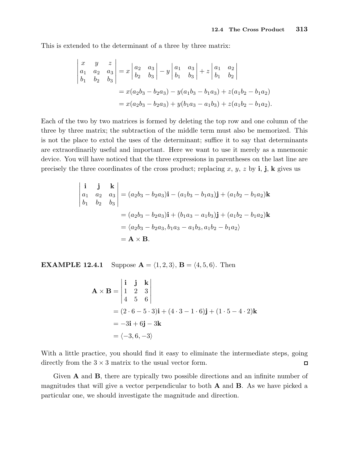This is extended to the determinant of a three by three matrix:

$$
\begin{vmatrix} x & y & z \ a_1 & a_2 & a_3 \ b_1 & b_2 & b_3 \end{vmatrix} = x \begin{vmatrix} a_2 & a_3 \ b_2 & b_3 \end{vmatrix} - y \begin{vmatrix} a_1 & a_3 \ b_1 & b_3 \end{vmatrix} + z \begin{vmatrix} a_1 & a_2 \ b_1 & b_2 \end{vmatrix}
$$
  
=  $x(a_2b_3 - b_2a_3) - y(a_1b_3 - b_1a_3) + z(a_1b_2 - b_1a_2)$   
=  $x(a_2b_3 - b_2a_3) + y(b_1a_3 - a_1b_3) + z(a_1b_2 - b_1a_2)$ .

Each of the two by two matrices is formed by deleting the top row and one column of the three by three matrix; the subtraction of the middle term must also be memorized. This is not the place to extol the uses of the determinant; suffice it to say that determinants are extraordinarily useful and important. Here we want to use it merely as a mnemonic device. You will have noticed that the three expressions in parentheses on the last line are precisely the three coordinates of the cross product; replacing x, y, z by i, j, k gives us

$$
\begin{vmatrix}\n\mathbf{i} & \mathbf{j} & \mathbf{k} \\
a_1 & a_2 & a_3 \\
b_1 & b_2 & b_3\n\end{vmatrix} = (a_2b_3 - b_2a_3)\mathbf{i} - (a_1b_3 - b_1a_3)\mathbf{j} + (a_1b_2 - b_1a_2)\mathbf{k}
$$
  
\n
$$
= (a_2b_3 - b_2a_3)\mathbf{i} + (b_1a_3 - a_1b_3)\mathbf{j} + (a_1b_2 - b_1a_2)\mathbf{k}
$$
  
\n
$$
= \langle a_2b_3 - b_2a_3, b_1a_3 - a_1b_3, a_1b_2 - b_1a_2 \rangle
$$
  
\n
$$
= \mathbf{A} \times \mathbf{B}.
$$

**EXAMPLE 12.4.1** Suppose  $\mathbf{A} = \langle 1, 2, 3 \rangle$ ,  $\mathbf{B} = \langle 4, 5, 6 \rangle$ . Then

$$
\mathbf{A} \times \mathbf{B} = \begin{vmatrix} \mathbf{i} & \mathbf{j} & \mathbf{k} \\ 1 & 2 & 3 \\ 4 & 5 & 6 \end{vmatrix}
$$
  
=  $(2 \cdot 6 - 5 \cdot 3)\mathbf{i} + (4 \cdot 3 - 1 \cdot 6)\mathbf{j} + (1 \cdot 5 - 4 \cdot 2)\mathbf{k}$   
=  $-3\mathbf{i} + 6\mathbf{j} - 3\mathbf{k}$   
=  $\langle -3, 6, -3 \rangle$ 

With a little practice, you should find it easy to eliminate the intermediate steps, going directly from the  $3 \times 3$  matrix to the usual vector form.  $\Box$ 

Given A and B, there are typically two possible directions and an infinite number of magnitudes that will give a vector perpendicular to both A and B. As we have picked a particular one, we should investigate the magnitude and direction.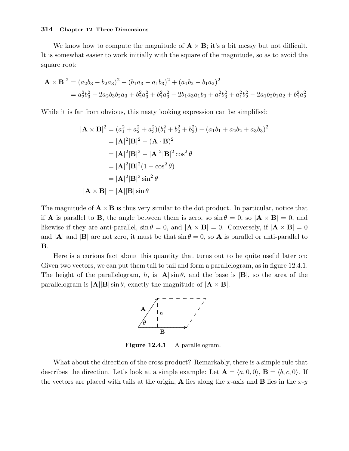We know how to compute the magnitude of  $\mathbf{A} \times \mathbf{B}$ ; it's a bit messy but not difficult. It is somewhat easier to work initially with the square of the magnitude, so as to avoid the square root:

$$
|\mathbf{A} \times \mathbf{B}|^2 = (a_2b_3 - b_2a_3)^2 + (b_1a_3 - a_1b_3)^2 + (a_1b_2 - b_1a_2)^2
$$
  
=  $a_2^2b_3^2 - 2a_2b_3b_2a_3 + b_2^2a_3^2 + b_1^2a_3^2 - 2b_1a_3a_1b_3 + a_1^2b_3^2 + a_1^2b_2^2 - 2a_1b_2b_1a_2 + b_1^2a_2^2$ 

While it is far from obvious, this nasty looking expression can be simplified:

$$
|\mathbf{A} \times \mathbf{B}|^2 = (a_1^2 + a_2^2 + a_3^2)(b_1^2 + b_2^2 + b_3^2) - (a_1b_1 + a_2b_2 + a_3b_3)^2
$$
  
\n
$$
= |\mathbf{A}|^2 |\mathbf{B}|^2 - (\mathbf{A} \cdot \mathbf{B})^2
$$
  
\n
$$
= |\mathbf{A}|^2 |\mathbf{B}|^2 - |\mathbf{A}|^2 |\mathbf{B}|^2 \cos^2 \theta
$$
  
\n
$$
= |\mathbf{A}|^2 |\mathbf{B}|^2 (1 - \cos^2 \theta)
$$
  
\n
$$
= |\mathbf{A}|^2 |\mathbf{B}|^2 \sin^2 \theta
$$
  
\n
$$
|\mathbf{A} \times \mathbf{B}| = |\mathbf{A}| |\mathbf{B}| \sin \theta
$$

The magnitude of  $\mathbf{A} \times \mathbf{B}$  is thus very similar to the dot product. In particular, notice that if **A** is parallel to **B**, the angle between them is zero, so  $\sin \theta = 0$ , so  $|\mathbf{A} \times \mathbf{B}| = 0$ , and likewise if they are anti-parallel,  $\sin \theta = 0$ , and  $|\mathbf{A} \times \mathbf{B}| = 0$ . Conversely, if  $|\mathbf{A} \times \mathbf{B}| = 0$ and  $|{\bf A}|$  and  $|{\bf B}|$  are not zero, it must be that  $\sin \theta = 0$ , so **A** is parallel or anti-parallel to B.

Here is a curious fact about this quantity that turns out to be quite useful later on: Given two vectors, we can put them tail to tail and form a parallelogram, as in figure 12.4.1. The height of the parallelogram, h, is  $|\mathbf{A}|\sin\theta$ , and the base is  $|\mathbf{B}|$ , so the area of the parallelogram is  $|\mathbf{A}||\mathbf{B}|\sin\theta$ , exactly the magnitude of  $|\mathbf{A} \times \mathbf{B}|$ .



Figure 12.4.1 A parallelogram.

What about the direction of the cross product? Remarkably, there is a simple rule that describes the direction. Let's look at a simple example: Let  $\mathbf{A} = \langle a, 0, 0 \rangle$ ,  $\mathbf{B} = \langle b, c, 0 \rangle$ . If the vectors are placed with tails at the origin, **A** lies along the x-axis and **B** lies in the x-y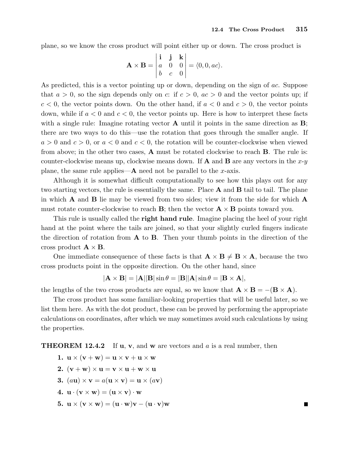plane, so we know the cross product will point either up or down. The cross product is

$$
\mathbf{A} \times \mathbf{B} = \begin{vmatrix} \mathbf{i} & \mathbf{j} & \mathbf{k} \\ a & 0 & 0 \\ b & c & 0 \end{vmatrix} = \langle 0, 0, ac \rangle.
$$

As predicted, this is a vector pointing up or down, depending on the sign of ac. Suppose that  $a > 0$ , so the sign depends only on c: if  $c > 0$ ,  $ac > 0$  and the vector points up; if  $c < 0$ , the vector points down. On the other hand, if  $a < 0$  and  $c > 0$ , the vector points down, while if  $a < 0$  and  $c < 0$ , the vector points up. Here is how to interpret these facts with a single rule: Imagine rotating vector  $\bf{A}$  until it points in the same direction as  $\bf{B}$ ; there are two ways to do this—use the rotation that goes through the smaller angle. If  $a > 0$  and  $c > 0$ , or  $a < 0$  and  $c < 0$ , the rotation will be counter-clockwise when viewed from above; in the other two cases, A must be rotated clockwise to reach B. The rule is: counter-clockwise means up, clockwise means down. If **A** and **B** are any vectors in the  $x-y$ plane, the same rule applies— $\bf{A}$  need not be parallel to the x-axis.

Although it is somewhat difficult computationally to see how this plays out for any two starting vectors, the rule is essentially the same. Place  $A$  and  $B$  tail to tail. The plane in which  $\bf{A}$  and  $\bf{B}$  lie may be viewed from two sides; view it from the side for which  $\bf{A}$ must rotate counter-clockwise to reach **B**; then the vector  $\mathbf{A} \times \mathbf{B}$  points toward you.

This rule is usually called the **right hand rule**. Imagine placing the heel of your right hand at the point where the tails are joined, so that your slightly curled fingers indicate the direction of rotation from  $A$  to  $B$ . Then your thumb points in the direction of the cross product  $\mathbf{A} \times \mathbf{B}$ .

One immediate consequence of these facts is that  $\mathbf{A} \times \mathbf{B} \neq \mathbf{B} \times \mathbf{A}$ , because the two cross products point in the opposite direction. On the other hand, since

$$
|\mathbf{A} \times \mathbf{B}| = |\mathbf{A}||\mathbf{B}|\sin \theta = |\mathbf{B}||\mathbf{A}|\sin \theta = |\mathbf{B} \times \mathbf{A}|,
$$

the lengths of the two cross products are equal, so we know that  $\mathbf{A} \times \mathbf{B} = -(\mathbf{B} \times \mathbf{A})$ .

The cross product has some familiar-looking properties that will be useful later, so we list them here. As with the dot product, these can be proved by performing the appropriate calculations on coordinates, after which we may sometimes avoid such calculations by using the properties.

**THEOREM 12.4.2** If **u**, **v**, and **w** are vectors and a is a real number, then

1.  $\mathbf{u} \times (\mathbf{v} + \mathbf{w}) = \mathbf{u} \times \mathbf{v} + \mathbf{u} \times \mathbf{w}$ 2.  $(v + w) \times u = v \times u + w \times u$ 3. (au)  $\times$  v = a(u  $\times$  v) = u  $\times$  (av) 4.  $\mathbf{u} \cdot (\mathbf{v} \times \mathbf{w}) = (\mathbf{u} \times \mathbf{v}) \cdot \mathbf{w}$ 5.  $\mathbf{u} \times (\mathbf{v} \times \mathbf{w}) = (\mathbf{u} \cdot \mathbf{w})\mathbf{v} - (\mathbf{u} \cdot \mathbf{v})\mathbf{w}$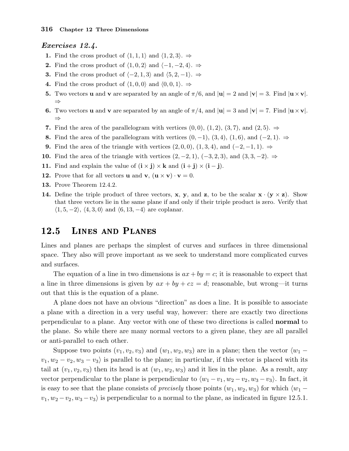#### Exercises 12.4.

- 1. Find the cross product of  $\langle 1, 1, 1 \rangle$  and  $\langle 1, 2, 3 \rangle$ . ⇒
- 2. Find the cross product of  $\langle 1, 0, 2 \rangle$  and  $\langle -1, -2, 4 \rangle$ . ⇒
- 3. Find the cross product of  $\langle -2, 1, 3 \rangle$  and  $\langle 5, 2, -1 \rangle$ . ⇒
- 4. Find the cross product of  $\langle 1, 0, 0 \rangle$  and  $\langle 0, 0, 1 \rangle$ .  $\Rightarrow$
- **5.** Two vectors **u** and **v** are separated by an angle of  $\pi/6$ , and  $|\mathbf{u}| = 2$  and  $|\mathbf{v}| = 3$ . Find  $|\mathbf{u} \times \mathbf{v}|$ . ⇒
- **6.** Two vectors **u** and **v** are separated by an angle of  $\pi/4$ , and  $|\mathbf{u}| = 3$  and  $|\mathbf{v}| = 7$ . Find  $|\mathbf{u} \times \mathbf{v}|$ . ⇒
- 7. Find the area of the parallelogram with vertices  $(0,0), (1,2), (3,7),$  and  $(2,5)$ .  $\Rightarrow$
- 8. Find the area of the parallelogram with vertices  $(0, -1)$ ,  $(3, 4)$ ,  $(1, 6)$ , and  $(-2, 1)$ . ⇒
- 9. Find the area of the triangle with vertices  $(2, 0, 0)$ ,  $(1, 3, 4)$ , and  $(-2, -1, 1)$ . ⇒
- 10. Find the area of the triangle with vertices  $(2, -2, 1)$ ,  $(-3, 2, 3)$ , and  $(3, 3, -2)$ . ⇒
- 11. Find and explain the value of  $(i \times j) \times k$  and  $(i + j) \times (i j)$ .
- 12. Prove that for all vectors **u** and **v**,  $(\mathbf{u} \times \mathbf{v}) \cdot \mathbf{v} = 0$ .
- 13. Prove Theorem 12.4.2.
- 14. Define the triple product of three vectors, x, y, and z, to be the scalar  $x \cdot (y \times z)$ . Show that three vectors lie in the same plane if and only if their triple product is zero. Verify that  $\langle 1, 5, -2 \rangle$ ,  $\langle 4, 3, 0 \rangle$  and  $\langle 6, 13, -4 \rangle$  are coplanar.

## 12.5 Lines and Planes

Lines and planes are perhaps the simplest of curves and surfaces in three dimensional space. They also will prove important as we seek to understand more complicated curves and surfaces.

The equation of a line in two dimensions is  $ax + by = c$ ; it is reasonable to expect that a line in three dimensions is given by  $ax + by + cz = d$ ; reasonable, but wrong—it turns out that this is the equation of a plane.

A plane does not have an obvious "direction" as does a line. It is possible to associate a plane with a direction in a very useful way, however: there are exactly two directions perpendicular to a plane. Any vector with one of these two directions is called normal to the plane. So while there are many normal vectors to a given plane, they are all parallel or anti-parallel to each other.

Suppose two points  $(v_1, v_2, v_3)$  and  $(w_1, w_2, w_3)$  are in a plane; then the vector  $\langle w_1$  $v_1, w_2 - v_2, w_3 - v_3$  is parallel to the plane; in particular, if this vector is placed with its tail at  $(v_1, v_2, v_3)$  then its head is at  $(w_1, w_2, w_3)$  and it lies in the plane. As a result, any vector perpendicular to the plane is perpendicular to  $\langle w_1 - v_1, w_2 - v_2, w_3 - v_3 \rangle$ . In fact, it is easy to see that the plane consists of *precisely* those points  $(w_1, w_2, w_3)$  for which  $\langle w_1 - w_2, w_3 \rangle$  $v_1, w_2 - v_2, w_3 - v_3$  is perpendicular to a normal to the plane, as indicated in figure 12.5.1.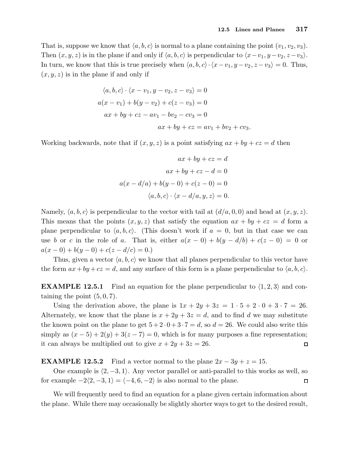That is, suppose we know that  $\langle a, b, c \rangle$  is normal to a plane containing the point  $(v_1, v_2, v_3)$ . Then  $(x, y, z)$  is in the plane if and only if  $\langle a, b, c \rangle$  is perpendicular to  $\langle x-v_1, y-v_2, z-v_3 \rangle$ . In turn, we know that this is true precisely when  $\langle a, b, c \rangle \cdot \langle x - v_1, y - v_2, z - v_3 \rangle = 0$ . Thus,  $(x, y, z)$  is in the plane if and only if

$$
\langle a, b, c \rangle \cdot \langle x - v_1, y - v_2, z - v_3 \rangle = 0
$$
  
\n
$$
a(x - v_1) + b(y - v_2) + c(z - v_3) = 0
$$
  
\n
$$
ax + by + cz - av_1 - bv_2 - cv_3 = 0
$$
  
\n
$$
ax + by + cz = av_1 + bv_2 + cv_3.
$$

Working backwards, note that if  $(x, y, z)$  is a point satisfying  $ax + by + cz = d$  then

$$
ax + by + cz = d
$$

$$
ax + by + cz - d = 0
$$

$$
a(x - d/a) + b(y - 0) + c(z - 0) = 0
$$

$$
\langle a, b, c \rangle \cdot \langle x - d/a, y, z \rangle = 0.
$$

Namely,  $\langle a, b, c \rangle$  is perpendicular to the vector with tail at  $(d/a, 0, 0)$  and head at  $(x, y, z)$ . This means that the points  $(x, y, z)$  that satisfy the equation  $ax + by + cz = d$  form a plane perpendicular to  $\langle a, b, c \rangle$ . (This doesn't work if  $a = 0$ , but in that case we can use b or c in the role of a. That is, either  $a(x - 0) + b(y - d/b) + c(z - 0) = 0$  or  $a(x-0) + b(y-0) + c(z-d/c) = 0.$ 

Thus, given a vector  $\langle a, b, c \rangle$  we know that all planes perpendicular to this vector have the form  $ax + by + cz = d$ , and any surface of this form is a plane perpendicular to  $\langle a, b, c \rangle$ .

**EXAMPLE 12.5.1** Find an equation for the plane perpendicular to  $\langle 1, 2, 3 \rangle$  and containing the point  $(5, 0, 7)$ .

Using the derivation above, the plane is  $1x + 2y + 3z = 1 \cdot 5 + 2 \cdot 0 + 3 \cdot 7 = 26$ . Alternately, we know that the plane is  $x + 2y + 3z = d$ , and to find d we may substitute the known point on the plane to get  $5 + 2 \cdot 0 + 3 \cdot 7 = d$ , so  $d = 26$ . We could also write this simply as  $(x-5)+2(y)+3(z-7)=0$ , which is for many purposes a fine representation; it can always be multiplied out to give  $x + 2y + 3z = 26$ .  $\Box$ 

**EXAMPLE 12.5.2** Find a vector normal to the plane  $2x - 3y + z = 15$ .

One example is  $\langle 2, -3, 1 \rangle$ . Any vector parallel or anti-parallel to this works as well, so for example  $-2\langle 2, -3, 1 \rangle = \langle -4, 6, -2 \rangle$  is also normal to the plane.  $\Box$ 

We will frequently need to find an equation for a plane given certain information about the plane. While there may occasionally be slightly shorter ways to get to the desired result,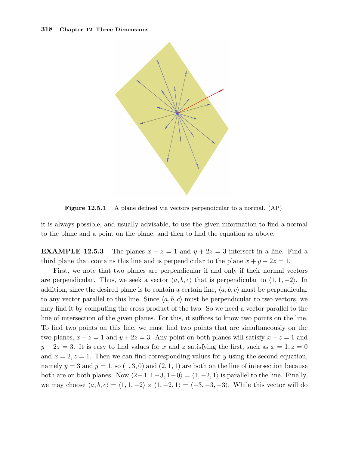

Figure 12.5.1 A plane defined via vectors perpendicular to a normal. (AP)

it is always possible, and usually advisable, to use the given information to find a normal to the plane and a point on the plane, and then to find the equation as above.

**EXAMPLE 12.5.3** The planes  $x - z = 1$  and  $y + 2z = 3$  intersect in a line. Find a third plane that contains this line and is perpendicular to the plane  $x + y - 2z = 1$ .

First, we note that two planes are perpendicular if and only if their normal vectors are perpendicular. Thus, we seek a vector  $\langle a, b, c \rangle$  that is perpendicular to  $\langle 1, 1, -2 \rangle$ . In addition, since the desired plane is to contain a certain line,  $\langle a, b, c \rangle$  must be perpendicular to any vector parallel to this line. Since  $\langle a, b, c \rangle$  must be perpendicular to two vectors, we may find it by computing the cross product of the two. So we need a vector parallel to the line of intersection of the given planes. For this, it suffices to know two points on the line. To find two points on this line, we must find two points that are simultaneously on the two planes,  $x - z = 1$  and  $y + 2z = 3$ . Any point on both planes will satisfy  $x - z = 1$  and  $y + 2z = 3$ . It is easy to find values for x and z satisfying the first, such as  $x = 1, z = 0$ and  $x = 2, z = 1$ . Then we can find corresponding values for y using the second equation, namely  $y = 3$  and  $y = 1$ , so  $(1, 3, 0)$  and  $(2, 1, 1)$  are both on the line of intersection because both are on both planes. Now  $\langle 2-1, 1-3, 1-0 \rangle = \langle 1, -2, 1 \rangle$  is parallel to the line. Finally, we may choose  $\langle a, b, c \rangle = \langle 1, 1, -2 \rangle \times \langle 1, -2, 1 \rangle = \langle -3, -3, -3 \rangle$ . While this vector will do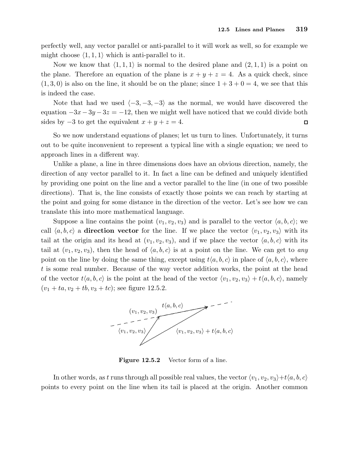perfectly well, any vector parallel or anti-parallel to it will work as well, so for example we might choose  $\langle 1, 1, 1 \rangle$  which is anti-parallel to it.

Now we know that  $\langle 1, 1, 1 \rangle$  is normal to the desired plane and  $(2, 1, 1)$  is a point on the plane. Therefore an equation of the plane is  $x + y + z = 4$ . As a quick check, since  $(1, 3, 0)$  is also on the line, it should be on the plane; since  $1 + 3 + 0 = 4$ , we see that this is indeed the case.

Note that had we used  $\langle -3, -3, -3 \rangle$  as the normal, we would have discovered the equation  $-3x-3y-3z = -12$ , then we might well have noticed that we could divide both sides by  $-3$  to get the equivalent  $x + y + z = 4$ .  $\Box$ 

So we now understand equations of planes; let us turn to lines. Unfortunately, it turns out to be quite inconvenient to represent a typical line with a single equation; we need to approach lines in a different way.

Unlike a plane, a line in three dimensions does have an obvious direction, namely, the direction of any vector parallel to it. In fact a line can be defined and uniquely identified by providing one point on the line and a vector parallel to the line (in one of two possible directions). That is, the line consists of exactly those points we can reach by starting at the point and going for some distance in the direction of the vector. Let's see how we can translate this into more mathematical language.

Suppose a line contains the point  $(v_1, v_2, v_3)$  and is parallel to the vector  $\langle a, b, c \rangle$ ; we call  $\langle a, b, c \rangle$  a direction vector for the line. If we place the vector  $\langle v_1, v_2, v_3 \rangle$  with its tail at the origin and its head at  $(v_1, v_2, v_3)$ , and if we place the vector  $\langle a, b, c \rangle$  with its tail at  $(v_1, v_2, v_3)$ , then the head of  $\langle a, b, c \rangle$  is at a point on the line. We can get to any point on the line by doing the same thing, except using  $t\langle a, b, c \rangle$  in place of  $\langle a, b, c \rangle$ , where t is some real number. Because of the way vector addition works, the point at the head of the vector  $t\langle a, b, c \rangle$  is the point at the head of the vector  $\langle v_1, v_2, v_3 \rangle + t\langle a, b, c \rangle$ , namely  $(v_1 + ta, v_2 + tb, v_3 + tc);$  see figure 12.5.2.



Figure 12.5.2 Vector form of a line.

In other words, as t runs through all possible real values, the vector  $\langle v_1, v_2, v_3 \rangle + t \langle a, b, c \rangle$ points to every point on the line when its tail is placed at the origin. Another common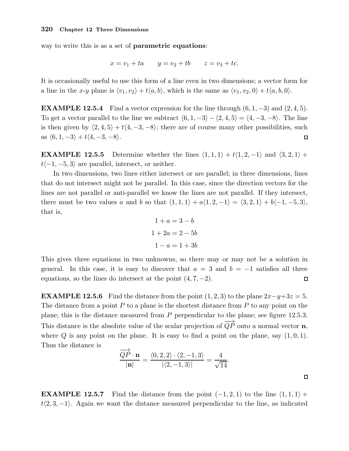way to write this is as a set of **parametric equations**:

$$
x = v_1 + ta
$$
  $y = v_2 + tb$   $z = v_3 + tc$ .

It is occasionally useful to use this form of a line even in two dimensions; a vector form for a line in the x-y plane is  $\langle v_1, v_2 \rangle + t\langle a, b \rangle$ , which is the same as  $\langle v_1, v_2, 0 \rangle + t\langle a, b, 0 \rangle$ .

**EXAMPLE 12.5.4** Find a vector expression for the line through  $(6, 1, -3)$  and  $(2, 4, 5)$ . To get a vector parallel to the line we subtract  $\langle 6, 1, -3 \rangle - \langle 2, 4, 5 \rangle = \langle 4, -3, -8 \rangle$ . The line is then given by  $\langle 2, 4, 5 \rangle + t\langle 4, -3, -8 \rangle$ ; there are of course many other possibilities, such as  $\langle 6, 1, -3 \rangle + t \langle 4, -3, -8 \rangle$ .  $\Box$ 

**EXAMPLE 12.5.5** Determine whether the lines  $\langle 1, 1, 1 \rangle + t\langle 1, 2, -1 \rangle$  and  $\langle 3, 2, 1 \rangle +$  $t\langle -1, -5, 3 \rangle$  are parallel, intersect, or neither.

In two dimensions, two lines either intersect or are parallel; in three dimensions, lines that do not intersect might not be parallel. In this case, since the direction vectors for the lines are not parallel or anti-parallel we know the lines are not parallel. If they intersect, there must be two values a and b so that  $\langle 1, 1, 1 \rangle + a\langle 1, 2, -1 \rangle = \langle 3, 2, 1 \rangle + b\langle -1, -5, 3 \rangle$ , that is,

$$
1 + a = 3 - b
$$

$$
1 + 2a = 2 - 5b
$$

$$
1 - a = 1 + 3b
$$

This gives three equations in two unknowns, so there may or may not be a solution in general. In this case, it is easy to discover that  $a = 3$  and  $b = -1$  satisfies all three equations, so the lines do intersect at the point  $(4, 7, -2)$ .  $\Box$ 

**EXAMPLE 12.5.6** Find the distance from the point  $(1, 2, 3)$  to the plane  $2x-y+3z=5$ . The distance from a point  $P$  to a plane is the shortest distance from  $P$  to any point on the plane; this is the distance measured from P perpendicular to the plane; see figure 12.5.3. This distance is the absolute value of the scalar projection of  $\overrightarrow{QP}$  onto a normal vector **n**, where  $Q$  is any point on the plane. It is easy to find a point on the plane, say  $(1, 0, 1)$ . Thus the distance is

$$
\frac{\overrightarrow{QP} \cdot \mathbf{n}}{|\mathbf{n}|} = \frac{\langle 0, 2, 2 \rangle \cdot \langle 2, -1, 3 \rangle}{|\langle 2, -1, 3 \rangle|} = \frac{4}{\sqrt{14}}.
$$

 $\Box$ 

**EXAMPLE 12.5.7** Find the distance from the point  $(-1, 2, 1)$  to the line  $\langle 1, 1, 1 \rangle$  +  $t(2, 3, -1)$ . Again we want the distance measured perpendicular to the line, as indicated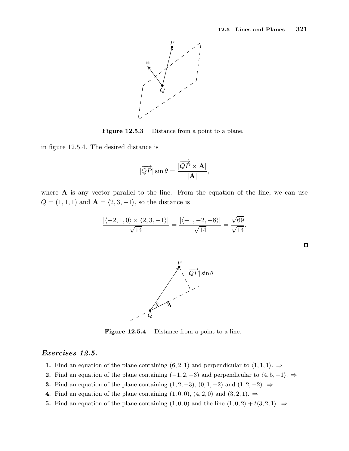

Figure 12.5.3 Distance from a point to a plane.

in figure 12.5.4. The desired distance is

$$
|\overrightarrow{QP}|\sin\theta=\frac{|\overrightarrow{QP}\times\mathbf{A}|}{|\mathbf{A}|},
$$

where  $\bf{A}$  is any vector parallel to the line. From the equation of the line, we can use  $Q=(1,1,1)$  and  $\mathbf{A}=\langle 2, 3, -1\rangle,$  so the distance is

$$
\frac{\left| \langle -2, 1, 0 \rangle \times \langle 2, 3, -1 \rangle \right|}{\sqrt{14}} = \frac{\left| \langle -1, -2, -8 \rangle \right|}{\sqrt{14}} = \frac{\sqrt{69}}{\sqrt{14}}.
$$

Figure 12.5.4 Distance from a point to a line.

#### Exercises 12.5.

- 1. Find an equation of the plane containing  $(6, 2, 1)$  and perpendicular to  $\langle 1, 1, 1 \rangle$ .  $\Rightarrow$
- 2. Find an equation of the plane containing  $(-1, 2, -3)$  and perpendicular to  $\langle 4, 5, -1 \rangle$ . ⇒
- 3. Find an equation of the plane containing  $(1, 2, -3)$ ,  $(0, 1, -2)$  and  $(1, 2, -2)$ . ⇒

θ

 $\pmb Q$ 

........ ....... .......  $\epsilon$ ........

•

.

- 4. Find an equation of the plane containing  $(1,0,0)$ ,  $(4,2,0)$  and  $(3,2,1)$ .  $\Rightarrow$
- 5. Find an equation of the plane containing  $(1, 0, 0)$  and the line  $\langle 1, 0, 2 \rangle + t \langle 3, 2, 1 \rangle$ . ⇒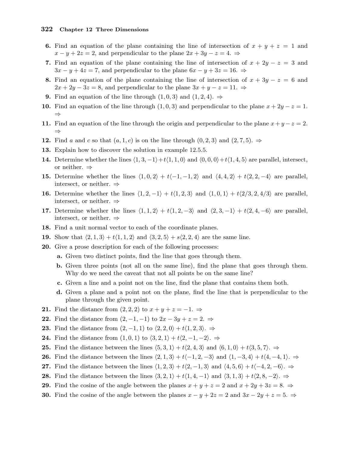- 6. Find an equation of the plane containing the line of intersection of  $x + y + z = 1$  and  $x - y + 2z = 2$ , and perpendicular to the plane  $2x + 3y - z = 4$ .
- 7. Find an equation of the plane containing the line of intersection of  $x + 2y z = 3$  and  $3x - y + 4z = 7$ , and perpendicular to the plane  $6x - y + 3z = 16$ .  $\Rightarrow$
- 8. Find an equation of the plane containing the line of intersection of  $x + 3y z = 6$  and  $2x + 2y - 3z = 8$ , and perpendicular to the plane  $3x + y - z = 11$ .  $\Rightarrow$
- 9. Find an equation of the line through  $(1,0,3)$  and  $(1,2,4)$ .  $\Rightarrow$
- 10. Find an equation of the line through  $(1, 0, 3)$  and perpendicular to the plane  $x + 2y z = 1$ . ⇒
- 11. Find an equation of the line through the origin and perpendicular to the plane  $x + y z = 2$ . ⇒
- 12. Find a and c so that  $(a, 1, c)$  is on the line through  $(0, 2, 3)$  and  $(2, 7, 5)$ .  $\Rightarrow$
- 13. Explain how to discover the solution in example 12.5.5.
- **14.** Determine whether the lines  $\langle 1, 3, -1 \rangle + t\langle 1, 1, 0 \rangle$  and  $\langle 0, 0, 0 \rangle + t\langle 1, 4, 5 \rangle$  are parallel, intersect, or neither. ⇒
- 15. Determine whether the lines  $\langle 1, 0, 2 \rangle + t\langle -1, -1, 2 \rangle$  and  $\langle 4, 4, 2 \rangle + t\langle 2, 2, -4 \rangle$  are parallel, intersect, or neither. ⇒
- **16.** Determine whether the lines  $\langle 1, 2, -1 \rangle + t\langle 1, 2, 3 \rangle$  and  $\langle 1, 0, 1 \rangle + t\langle 2/3, 2, 4/3 \rangle$  are parallel, intersect, or neither. ⇒
- 17. Determine whether the lines  $\langle 1, 1, 2 \rangle + t\langle 1, 2, -3 \rangle$  and  $\langle 2, 3, -1 \rangle + t\langle 2, 4, -6 \rangle$  are parallel, intersect, or neither. ⇒
- 18. Find a unit normal vector to each of the coordinate planes.
- 19. Show that  $\langle 2, 1, 3 \rangle + t\langle 1, 1, 2 \rangle$  and  $\langle 3, 2, 5 \rangle + s\langle 2, 2, 4 \rangle$  are the same line.
- 20. Give a prose description for each of the following processes:
	- a. Given two distinct points, find the line that goes through them.
	- b. Given three points (not all on the same line), find the plane that goes through them. Why do we need the caveat that not all points be on the same line?
	- c. Given a line and a point not on the line, find the plane that contains them both.
	- d. Given a plane and a point not on the plane, find the line that is perpendicular to the plane through the given point.
- 21. Find the distance from  $(2,2,2)$  to  $x+y+z=-1. \Rightarrow$
- 22. Find the distance from  $(2, -1, -1)$  to  $2x 3y + z = 2$ .  $\Rightarrow$
- 23. Find the distance from  $(2, -1, 1)$  to  $\langle 2, 2, 0 \rangle + t\langle 1, 2, 3 \rangle$ . ⇒
- 24. Find the distance from  $(1, 0, 1)$  to  $\langle 3, 2, 1 \rangle + t\langle 2, -1, -2 \rangle$ . ⇒
- 25. Find the distance between the lines  $\langle 5, 3, 1 \rangle + t\langle 2, 4, 3 \rangle$  and  $\langle 6, 1, 0 \rangle + t\langle 3, 5, 7 \rangle$ . ⇒
- 26. Find the distance between the lines  $\langle 2, 1, 3 \rangle + t\langle -1, 2, -3 \rangle$  and  $\langle 1, -3, 4 \rangle + t\langle 4, -4, 1 \rangle$ . ⇒
- 27. Find the distance between the lines  $\langle 1, 2, 3 \rangle + t\langle 2, -1, 3 \rangle$  and  $\langle 4, 5, 6 \rangle + t\langle -4, 2, -6 \rangle$ . ⇒
- 28. Find the distance between the lines  $\langle 3, 2, 1 \rangle + t(1, 4, -1)$  and  $\langle 3, 1, 3 \rangle + t(2, 8, -2)$ .  $\Rightarrow$
- 29. Find the cosine of the angle between the planes  $x + y + z = 2$  and  $x + 2y + 3z = 8$ .
- **30.** Find the cosine of the angle between the planes  $x y + 2z = 2$  and  $3x 2y + z = 5$ .  $\Rightarrow$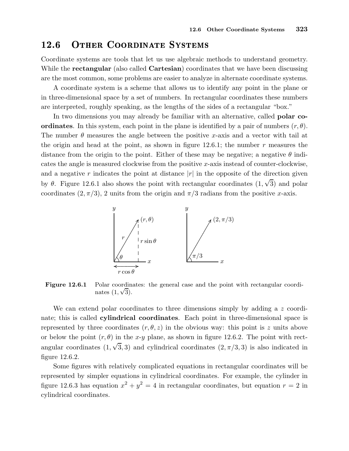## 12.6 Other Coordinate Systems

Coordinate systems are tools that let us use algebraic methods to understand geometry. While the **rectangular** (also called **Cartesian**) coordinates that we have been discussing are the most common, some problems are easier to analyze in alternate coordinate systems.

A coordinate system is a scheme that allows us to identify any point in the plane or in three-dimensional space by a set of numbers. In rectangular coordinates these numbers are interpreted, roughly speaking, as the lengths of the sides of a rectangular "box."

In two dimensions you may already be familiar with an alternative, called **polar co**ordinates. In this system, each point in the plane is identified by a pair of numbers  $(r, \theta)$ . The number  $\theta$  measures the angle between the positive x-axis and a vector with tail at the origin and head at the point, as shown in figure 12.6.1; the number  $r$  measures the distance from the origin to the point. Either of these may be negative; a negative  $\theta$  indicates the angle is measured clockwise from the positive x-axis instead of counter-clockwise, and a negative r indicates the point at distance  $|r|$  in the opposite of the direction given by  $\theta$ . Figure 12.6.1 also shows the point with rectangular coordinates  $(1, \sqrt{3})$  and polar coordinates  $(2, \pi/3)$ , 2 units from the origin and  $\pi/3$  radians from the positive x-axis.



Figure 12.6.1 Polar coordinates: the general case and the point with rectangular coordinates  $(1, \sqrt{3})$ .

We can extend polar coordinates to three dimensions simply by adding a z coordinate; this is called cylindrical coordinates. Each point in three-dimensional space is represented by three coordinates  $(r, \theta, z)$  in the obvious way: this point is z units above or below the point  $(r, \theta)$  in the x-y plane, as shown in figure 12.6.2. The point with rectangular coordinates  $(1, \sqrt{3}, 3)$  and cylindrical coordinates  $(2, \pi/3, 3)$  is also indicated in figure 12.6.2.

Some figures with relatively complicated equations in rectangular coordinates will be represented by simpler equations in cylindrical coordinates. For example, the cylinder in figure 12.6.3 has equation  $x^2 + y^2 = 4$  in rectangular coordinates, but equation  $r = 2$  in cylindrical coordinates.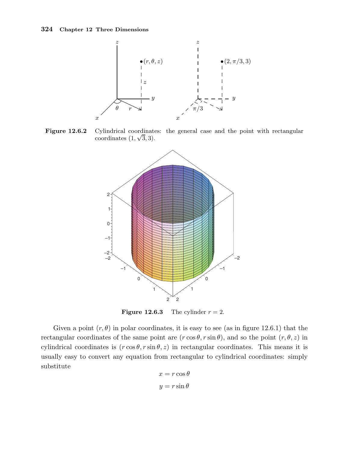

Figure 12.6.2 Cylindrical coordinates: the general case and the point with rectangular coordinates  $(1, \sqrt{3}, 3)$ .



**Figure 12.6.3** The cylinder  $r = 2$ .

Given a point  $(r, \theta)$  in polar coordinates, it is easy to see (as in figure 12.6.1) that the rectangular coordinates of the same point are  $(r \cos \theta, r \sin \theta)$ , and so the point  $(r, \theta, z)$  in cylindrical coordinates is  $(r \cos \theta, r \sin \theta, z)$  in rectangular coordinates. This means it is usually easy to convert any equation from rectangular to cylindrical coordinates: simply substitute

$$
x = r \cos \theta
$$

$$
y = r \sin \theta
$$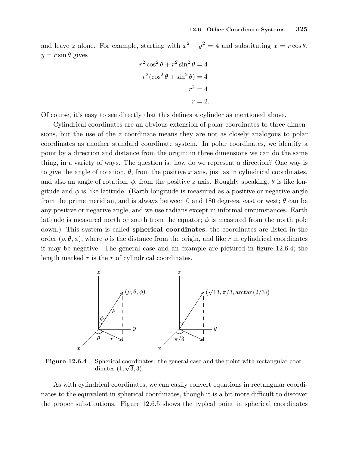and leave z alone. For example, starting with  $x^2 + y^2 = 4$  and substituting  $x = r \cos \theta$ ,  $y = r \sin \theta$  gives

$$
r^{2} \cos^{2} \theta + r^{2} \sin^{2} \theta = 4
$$

$$
r^{2} (\cos^{2} \theta + \sin^{2} \theta) = 4
$$

$$
r^{2} = 4
$$

$$
r = 2.
$$

Of course, it's easy to see directly that this defines a cylinder as mentioned above.

Cylindrical coordinates are an obvious extension of polar coordinates to three dimensions, but the use of the z coordinate means they are not as closely analogous to polar coordinates as another standard coordinate system. In polar coordinates, we identify a point by a direction and distance from the origin; in three dimensions we can do the same thing, in a variety of ways. The question is: how do we represent a direction? One way is to give the angle of rotation,  $\theta$ , from the positive x axis, just as in cylindrical coordinates, and also an angle of rotation,  $\phi$ , from the positive z axis. Roughly speaking,  $\theta$  is like longitude and  $\phi$  is like latitude. (Earth longitude is measured as a positive or negative angle from the prime meridian, and is always between 0 and 180 degrees, east or west;  $\theta$  can be any positive or negative angle, and we use radians except in informal circumstances. Earth latitude is measured north or south from the equator;  $\phi$  is measured from the north pole down.) This system is called spherical coordinates; the coordinates are listed in the order  $(\rho, \theta, \phi)$ , where  $\rho$  is the distance from the origin, and like r in cylindrical coordinates it may be negative. The general case and an example are pictured in figure 12.6.4; the length marked  $r$  is the  $r$  of cylindrical coordinates.



Figure 12.6.4 Spherical coordinates: the general case and the point with rectangular coordinates  $(1, \sqrt{3}, 3)$ .

As with cylindrical coordinates, we can easily convert equations in rectangular coordinates to the equivalent in spherical coordinates, though it is a bit more difficult to discover the proper substitutions. Figure 12.6.5 shows the typical point in spherical coordinates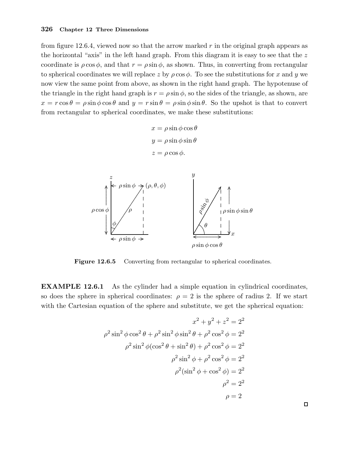from figure 12.6.4, viewed now so that the arrow marked  $r$  in the original graph appears as the horizontal "axis" in the left hand graph. From this diagram it is easy to see that the  $z$ coordinate is  $\rho \cos \phi$ , and that  $r = \rho \sin \phi$ , as shown. Thus, in converting from rectangular to spherical coordinates we will replace z by  $\rho \cos \phi$ . To see the substitutions for x and y we now view the same point from above, as shown in the right hand graph. The hypotenuse of the triangle in the right hand graph is  $r = \rho \sin \phi$ , so the sides of the triangle, as shown, are  $x = r \cos \theta = \rho \sin \phi \cos \theta$  and  $y = r \sin \theta = \rho \sin \phi \sin \theta$ . So the upshot is that to convert from rectangular to spherical coordinates, we make these substitutions:

> $x = \rho \sin \phi \cos \theta$  $y = \rho \sin \phi \sin \theta$  $z = \rho \cos \phi$ .



Figure 12.6.5 Converting from rectangular to spherical coordinates.

EXAMPLE 12.6.1 As the cylinder had a simple equation in cylindrical coordinates, so does the sphere in spherical coordinates:  $\rho = 2$  is the sphere of radius 2. If we start with the Cartesian equation of the sphere and substitute, we get the spherical equation:

$$
x^{2} + y^{2} + z^{2} = 2^{2}
$$

$$
\rho^{2} \sin^{2} \phi \cos^{2} \theta + \rho^{2} \sin^{2} \phi \sin^{2} \theta + \rho^{2} \cos^{2} \phi = 2^{2}
$$

$$
\rho^{2} \sin^{2} \phi (\cos^{2} \theta + \sin^{2} \theta) + \rho^{2} \cos^{2} \phi = 2^{2}
$$

$$
\rho^{2} \sin^{2} \phi + \rho^{2} \cos^{2} \phi = 2^{2}
$$

$$
\rho^{2} (\sin^{2} \phi + \cos^{2} \phi) = 2^{2}
$$

$$
\rho^{2} = 2^{2}
$$

$$
\rho = 2
$$

 $\Box$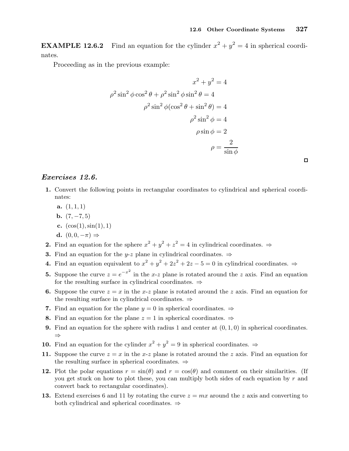**EXAMPLE 12.6.2** Find an equation for the cylinder  $x^2 + y^2 = 4$  in spherical coordinates.

Proceeding as in the previous example:

$$
x^{2} + y^{2} = 4
$$

$$
\rho^{2} \sin^{2} \phi \cos^{2} \theta + \rho^{2} \sin^{2} \phi \sin^{2} \theta = 4
$$

$$
\rho^{2} \sin^{2} \phi (\cos^{2} \theta + \sin^{2} \theta) = 4
$$

$$
\rho^{2} \sin^{2} \phi = 4
$$

$$
\rho \sin \phi = 2
$$

$$
\rho = \frac{2}{\sin \phi}
$$

### Exercises 12.6.

- 1. Convert the following points in rectangular coordinates to cylindrical and spherical coordinates:
	- a.  $(1, 1, 1)$
	- **b.**  $(7, -7, 5)$
	- c.  $(cos(1), sin(1), 1)$
	- d.  $(0, 0, -\pi) \Rightarrow$
- **2.** Find an equation for the sphere  $x^2 + y^2 + z^2 = 4$  in cylindrical coordinates.  $\Rightarrow$
- **3.** Find an equation for the y-z plane in cylindrical coordinates.  $\Rightarrow$
- 4. Find an equation equivalent to  $x^2 + y^2 + 2z^2 + 2z 5 = 0$  in cylindrical coordinates.  $\Rightarrow$
- **5.** Suppose the curve  $z = e^{-x^2}$  in the x-z plane is rotated around the z axis. Find an equation for the resulting surface in cylindrical coordinates.  $\Rightarrow$
- 6. Suppose the curve  $z = x$  in the x-z plane is rotated around the z axis. Find an equation for the resulting surface in cylindrical coordinates. ⇒
- 7. Find an equation for the plane  $y = 0$  in spherical coordinates.  $\Rightarrow$
- 8. Find an equation for the plane  $z = 1$  in spherical coordinates.  $\Rightarrow$
- **9.** Find an equation for the sphere with radius 1 and center at  $(0, 1, 0)$  in spherical coordinates. ⇒
- **10.** Find an equation for the cylinder  $x^2 + y^2 = 9$  in spherical coordinates.  $\Rightarrow$
- 11. Suppose the curve  $z = x$  in the x-z plane is rotated around the z axis. Find an equation for the resulting surface in spherical coordinates. ⇒
- 12. Plot the polar equations  $r = \sin(\theta)$  and  $r = \cos(\theta)$  and comment on their similarities. (If you get stuck on how to plot these, you can multiply both sides of each equation by  $r$  and convert back to rectangular coordinates).
- 13. Extend exercises 6 and 11 by rotating the curve  $z = mx$  around the z axis and converting to both cylindrical and spherical coordinates. ⇒